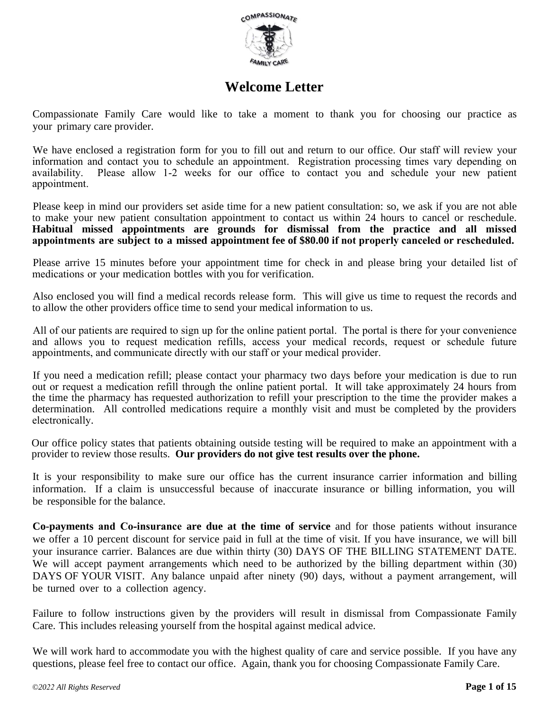

# **Welcome Letter**

Compassionate Family Care would like to take a moment to thank you for choosing our practice as your primary care provider.

We have enclosed a registration form for you to fill out and return to our office. Our staff will review your information and contact you to schedule an appointment. Registration processing times vary depending on availability. Please allow 1-2 weeks for our office to contact you and schedule your new patient appointment.

Please keep in mind our providers set aside time for a new patient consultation: so, we ask if you are not able to make your new patient consultation appointment to contact us within 24 hours to cancel or reschedule. **Habitual missed appointments are grounds for dismissal from the practice and all missed appointments are subject to a missed appointment fee of \$80.00 if not properly canceled or rescheduled.**

Please arrive 15 minutes before your appointment time for check in and please bring your detailed list of medications or your medication bottles with you for verification.

Also enclosed you will find a medical records release form. This will give us time to request the records and to allow the other providers office time to send your medical information to us.

All of our patients are required to sign up for the online patient portal. The portal is there for your convenience and allows you to request medication refills, access your medical records, request or schedule future appointments, and communicate directly with our staff or your medical provider.

If you need a medication refill; please contact your pharmacy two days before your medication is due to run out or request a medication refill through the online patient portal. It will take approximately 24 hours from the time the pharmacy has requested authorization to refill your prescription to the time the provider makes a determination. All controlled medications require a monthly visit and must be completed by the providers electronically.

Our office policy states that patients obtaining outside testing will be required to make an appointment with a provider to review those results. **Our providers do not give test results over the phone.** 

It is your responsibility to make sure our office has the current insurance carrier information and billing information. If a claim is unsuccessful because of inaccurate insurance or billing information, you will be responsible for the balance.

**Co-payments and Co-insurance are due at the time of service** and for those patients without insurance we offer a 10 percent discount for service paid in full at the time of visit. If you have insurance, we will bill your insurance carrier. Balances are due within thirty (30) DAYS OF THE BILLING STATEMENT DATE. We will accept payment arrangements which need to be authorized by the billing department within (30) DAYS OF YOUR VISIT. Any balance unpaid after ninety (90) days, without a payment arrangement, will be turned over to a collection agency.

Failure to follow instructions given by the providers will result in dismissal from Compassionate Family Care. This includes releasing yourself from the hospital against medical advice.

We will work hard to accommodate you with the highest quality of care and service possible. If you have any questions, please feel free to contact our office. Again, thank you for choosing Compassionate Family Care.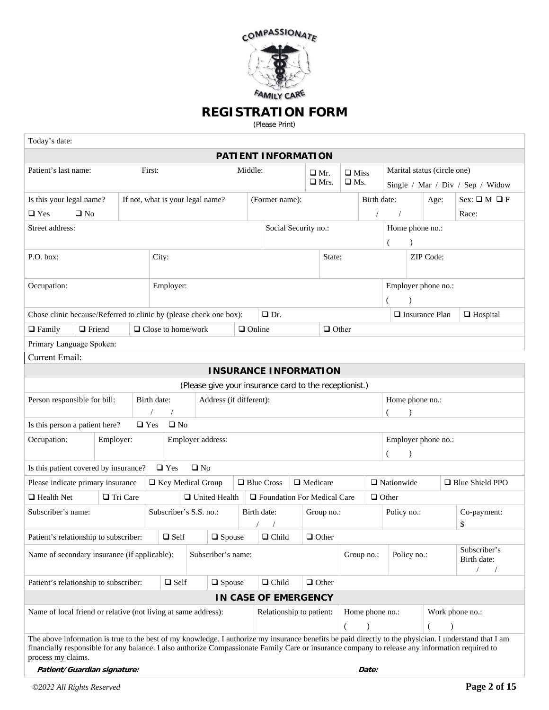

### **REGISTRATION FORM**

(Please Print)

| Today's date:                                                      |                                                                                                                                                                                                                                                                                                                                 |           |            |                                  |              |                           |                         |               |                                                        |  |                 |              |               |                   |                     |                             |                       |                                  |
|--------------------------------------------------------------------|---------------------------------------------------------------------------------------------------------------------------------------------------------------------------------------------------------------------------------------------------------------------------------------------------------------------------------|-----------|------------|----------------------------------|--------------|---------------------------|-------------------------|---------------|--------------------------------------------------------|--|-----------------|--------------|---------------|-------------------|---------------------|-----------------------------|-----------------------|----------------------------------|
|                                                                    |                                                                                                                                                                                                                                                                                                                                 |           |            |                                  |              |                           |                         |               | <b>PATIENT INFORMATION</b>                             |  |                 |              |               |                   |                     |                             |                       |                                  |
| Patient's last name:                                               |                                                                                                                                                                                                                                                                                                                                 |           |            | First:                           | Middle:      |                           |                         |               |                                                        |  | $\Box$ Mr.      |              |               | $\Box$ Miss       |                     | Marital status (circle one) |                       |                                  |
|                                                                    |                                                                                                                                                                                                                                                                                                                                 |           |            |                                  |              |                           |                         |               |                                                        |  |                 | $\Box$ Mrs.  | $\square$ Ms. |                   |                     |                             |                       | Single / Mar / Div / Sep / Widow |
| Is this your legal name?                                           |                                                                                                                                                                                                                                                                                                                                 |           |            | If not, what is your legal name? |              |                           |                         |               | (Former name):                                         |  |                 |              |               | Birth date:       | Age:                |                             |                       | $Sex: \square M \square F$       |
| $\Box$ Yes                                                         | $\square$ No                                                                                                                                                                                                                                                                                                                    |           |            |                                  |              |                           |                         |               |                                                        |  |                 |              |               |                   | $\sqrt{2}$          |                             |                       | Race:                            |
| Street address:                                                    |                                                                                                                                                                                                                                                                                                                                 |           |            |                                  |              | Social Security no.:      |                         |               |                                                        |  | Home phone no.: |              |               |                   |                     |                             |                       |                                  |
|                                                                    |                                                                                                                                                                                                                                                                                                                                 |           |            |                                  |              |                           |                         |               |                                                        |  |                 | (            |               |                   |                     |                             |                       |                                  |
| P.O. box:<br>City:                                                 |                                                                                                                                                                                                                                                                                                                                 |           |            |                                  |              |                           |                         |               |                                                        |  | State:          |              |               | ZIP Code:         |                     |                             |                       |                                  |
| Occupation:                                                        |                                                                                                                                                                                                                                                                                                                                 |           |            |                                  | Employer:    |                           |                         |               |                                                        |  |                 |              |               |                   |                     |                             | Employer phone no.:   |                                  |
| Chose clinic because/Referred to clinic by (please check one box): |                                                                                                                                                                                                                                                                                                                                 |           |            |                                  |              |                           |                         |               | $\Box$ Dr.                                             |  |                 |              |               |                   |                     |                             | $\Box$ Insurance Plan | $\Box$ Hospital                  |
| $\Box$ Family                                                      | $\Box$ Friend                                                                                                                                                                                                                                                                                                                   |           |            |                                  |              | $\Box$ Close to home/work |                         | $\Box$ Online |                                                        |  |                 | $\Box$ Other |               |                   |                     |                             |                       |                                  |
| Primary Language Spoken:                                           |                                                                                                                                                                                                                                                                                                                                 |           |            |                                  |              |                           |                         |               |                                                        |  |                 |              |               |                   |                     |                             |                       |                                  |
| Current Email:                                                     |                                                                                                                                                                                                                                                                                                                                 |           |            |                                  |              |                           |                         |               |                                                        |  |                 |              |               |                   |                     |                             |                       |                                  |
|                                                                    |                                                                                                                                                                                                                                                                                                                                 |           |            |                                  |              |                           |                         |               | <b>INSURANCE INFORMATION</b>                           |  |                 |              |               |                   |                     |                             |                       |                                  |
|                                                                    |                                                                                                                                                                                                                                                                                                                                 |           |            |                                  |              |                           |                         |               | (Please give your insurance card to the receptionist.) |  |                 |              |               |                   |                     |                             |                       |                                  |
| Person responsible for bill:                                       |                                                                                                                                                                                                                                                                                                                                 |           |            | Birth date:                      |              |                           | Address (if different): |               | Home phone no.:                                        |  |                 |              |               |                   |                     |                             |                       |                                  |
| Is this person a patient here?                                     |                                                                                                                                                                                                                                                                                                                                 |           |            | $\Box$ Yes                       | $\square$ No |                           |                         |               |                                                        |  |                 |              |               |                   |                     |                             |                       |                                  |
| Occupation:                                                        |                                                                                                                                                                                                                                                                                                                                 | Employer: |            |                                  |              | Employer address:         |                         |               |                                                        |  |                 |              |               |                   | Employer phone no.: |                             |                       |                                  |
|                                                                    |                                                                                                                                                                                                                                                                                                                                 |           |            |                                  |              |                           |                         |               |                                                        |  | €               |              |               |                   |                     |                             |                       |                                  |
| Is this patient covered by insurance?                              |                                                                                                                                                                                                                                                                                                                                 |           |            |                                  | $\Box$ Yes   | $\square$ No              |                         |               |                                                        |  |                 |              |               |                   |                     |                             |                       |                                  |
| Please indicate primary insurance                                  |                                                                                                                                                                                                                                                                                                                                 |           |            |                                  |              | □ Key Medical Group       |                         |               | □ Blue Cross                                           |  | $\Box$ Medicare |              |               | $\Box$ Nationwide |                     |                             | Blue Shield PPO       |                                  |
| $\Box$ Health Net                                                  |                                                                                                                                                                                                                                                                                                                                 |           | □ Tri Care |                                  |              |                           | □ United Health         |               | $\hfill\blacksquare$ Foundation For Medical Care       |  |                 |              |               |                   | $\Box$ Other        |                             |                       |                                  |
| Subscriber's name:                                                 |                                                                                                                                                                                                                                                                                                                                 |           |            |                                  |              | Subscriber's S.S. no.:    |                         |               | Birth date:                                            |  |                 | Group no.:   |               |                   | Policy no.:         |                             |                       | Co-payment:<br>\$                |
| Patient's relationship to subscriber:                              |                                                                                                                                                                                                                                                                                                                                 |           |            |                                  | $\Box$ Self  |                           | $\square$ Spouse        |               | $\Box$ Child                                           |  | $\Box$ Other    |              |               |                   |                     |                             |                       |                                  |
| Name of secondary insurance (if applicable):                       |                                                                                                                                                                                                                                                                                                                                 |           |            |                                  |              |                           | Subscriber's name:      |               |                                                        |  |                 |              |               | Group no.:        |                     | Policy no.:                 |                       | Subscriber's<br>Birth date:      |
| Patient's relationship to subscriber:                              |                                                                                                                                                                                                                                                                                                                                 |           |            |                                  | $\Box$ Self  |                           | $\Box$ Spouse           |               | $\Box$ Child                                           |  | $\Box$ Other    |              |               |                   |                     |                             |                       |                                  |
|                                                                    |                                                                                                                                                                                                                                                                                                                                 |           |            |                                  |              |                           |                         |               | IN CASE OF EMERGENCY                                   |  |                 |              |               |                   |                     |                             |                       |                                  |
| Name of local friend or relative (not living at same address):     |                                                                                                                                                                                                                                                                                                                                 |           |            |                                  |              |                           |                         |               | Relationship to patient:                               |  |                 |              |               |                   | Home phone no.:     |                             |                       | Work phone no.:                  |
|                                                                    |                                                                                                                                                                                                                                                                                                                                 |           |            |                                  |              |                           |                         |               |                                                        |  |                 |              | €             | $\lambda$         |                     |                             | (                     |                                  |
|                                                                    | The above information is true to the best of my knowledge. I authorize my insurance benefits be paid directly to the physician. I understand that I am<br>financially responsible for any balance. I also authorize Compassionate Family Care or insurance company to release any information required to<br>process my claims. |           |            |                                  |              |                           |                         |               |                                                        |  |                 |              |               |                   |                     |                             |                       |                                  |

**Patient/Guardian signature: Date:**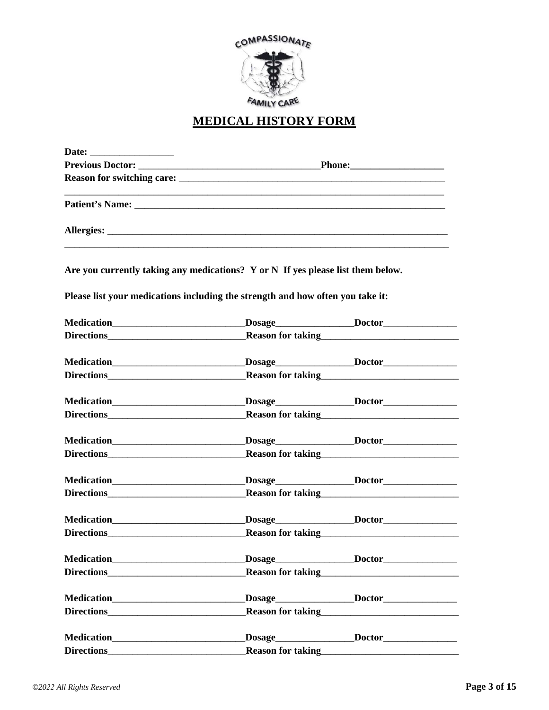

# **MEDICAL HISTORY FORM**

|                                                                                     | <u> 1989 - Johann Barn, mars ar y brening ar y brening ar y brening ar y brening ar y brening ar y brening ar y b</u> |
|-------------------------------------------------------------------------------------|-----------------------------------------------------------------------------------------------------------------------|
|                                                                                     |                                                                                                                       |
| Are you currently taking any medications? $Y$ or $N$ If yes please list them below. |                                                                                                                       |
| Please list your medications including the strength and how often you take it:      |                                                                                                                       |
|                                                                                     |                                                                                                                       |
|                                                                                     | Reason for taking<br><u>Example 2008</u>                                                                              |
|                                                                                     |                                                                                                                       |
| Directions <b>Directions</b>                                                        | Reason for taking<br><u>Example 2014</u>                                                                              |
|                                                                                     |                                                                                                                       |
|                                                                                     |                                                                                                                       |
|                                                                                     | Medication________________________________Dosage_________________Doctor________________                               |
| Directions <b>Execution CONSUMPLE 2014</b>                                          | Reason for taking<br><u>Example 2014</u>                                                                              |
|                                                                                     |                                                                                                                       |
| Directions <b>Directions</b>                                                        | Reason for taking<br><u>Example 2008</u>                                                                              |
|                                                                                     |                                                                                                                       |
|                                                                                     | Directions<br><u>Directions</u><br><u>Reason for taking<br/> Lating</u>                                               |
|                                                                                     |                                                                                                                       |
|                                                                                     | Reason for taking<br><u>Reason for taking</u>                                                                         |
|                                                                                     |                                                                                                                       |
|                                                                                     | Reason for taking<br><u>Reason for taking</u>                                                                         |
|                                                                                     |                                                                                                                       |
| <b>Directions</b>                                                                   | Reason for taking<br><u>Reason for taking</u>                                                                         |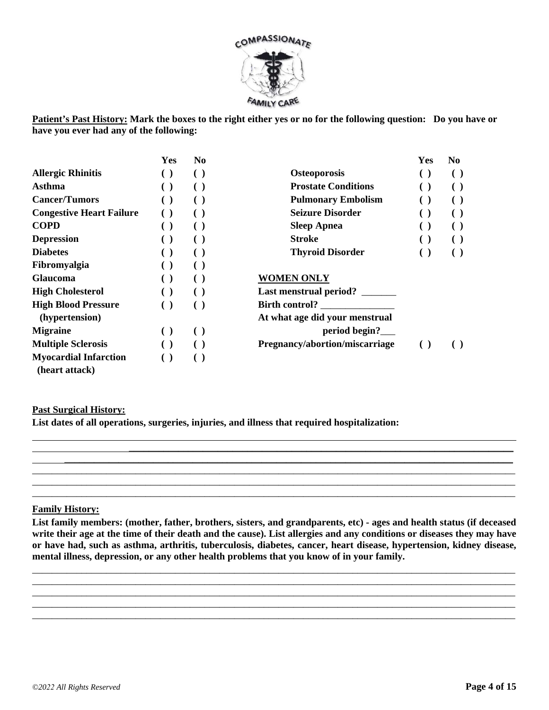

**Patient's Past History: Mark the boxes to the right either yes or no for the following question: Do you have or have you ever had any of the following:** 

|                                                | Yes                                           | N <sub>0</sub>         |                                | Yes                    | No.                    |
|------------------------------------------------|-----------------------------------------------|------------------------|--------------------------------|------------------------|------------------------|
| <b>Allergic Rhinitis</b>                       | $\left( \quad \right)$                        | $\left( \quad \right)$ | <b>Osteoporosis</b>            | $\left( \ \right)$     | $\left( \quad \right)$ |
| Asthma                                         |                                               |                        | <b>Prostate Conditions</b>     | $\left( \ \right)$     | $\left( \quad \right)$ |
| <b>Cancer/Tumors</b>                           | $\left( \begin{array}{c} \end{array} \right)$ | $\left( \quad \right)$ | <b>Pulmonary Embolism</b>      | $\left( \ \right)$     | $\left( \quad \right)$ |
| <b>Congestive Heart Failure</b>                |                                               |                        | <b>Seizure Disorder</b>        | $\left( \ \right)$     |                        |
| <b>COPD</b>                                    | $\left( \quad \right)$                        | ( )                    | <b>Sleep Apnea</b>             | $\left( \ \right)$     | $\left( \quad \right)$ |
| <b>Depression</b>                              |                                               |                        | <b>Stroke</b>                  | $\left( \ \right)$     | $\left( \quad \right)$ |
| <b>Diabetes</b>                                | $\left( \quad \right)$                        | $\left( \quad \right)$ | <b>Thyroid Disorder</b>        | $\left( \quad \right)$ | $\left( \quad \right)$ |
| Fibromyalgia                                   |                                               | $\left( \quad \right)$ |                                |                        |                        |
| <b>Glaucoma</b>                                | $\left( \quad \right)$                        | $\left( \quad \right)$ | <b>WOMEN ONLY</b>              |                        |                        |
| <b>High Cholesterol</b>                        | $\left( \quad \right)$                        | ( )                    | Last menstrual period? _______ |                        |                        |
| <b>High Blood Pressure</b>                     | $\left( \quad \right)$                        | $\left( \quad \right)$ | <b>Birth control?</b>          |                        |                        |
| (hypertension)                                 |                                               |                        | At what age did your menstrual |                        |                        |
| <b>Migraine</b>                                | $\left( \ \right)$                            | $\left( \ \right)$     | period begin?                  |                        |                        |
| <b>Multiple Sclerosis</b>                      |                                               | $\left( \quad \right)$ | Pregnancy/abortion/miscarriage | $\left( \quad \right)$ |                        |
| <b>Myocardial Infarction</b><br>(heart attack) | $\left( \quad \right)$                        | $\left( \quad \right)$ |                                |                        |                        |

#### **Past Surgical History:**

**List dates of all operations, surgeries, injuries, and illness that required hospitalization:** 

#### **Family History:**

**List family members: (mother, father, brothers, sisters, and grandparents, etc) - ages and health status (if deceased write their age at the time of their death and the cause). List allergies and any conditions or diseases they may have or have had, such as asthma, arthritis, tuberculosis, diabetes, cancer, heart disease, hypertension, kidney disease, mental illness, depression, or any other health problems that you know of in your family.** 

\_\_\_\_\_\_\_\_\_\_\_\_\_\_\_\_\_\_\_\_\_\_\_\_\_\_\_\_\_\_\_\_\_\_\_\_\_\_\_\_\_\_\_\_\_\_\_\_\_\_\_\_\_\_\_\_\_\_\_\_\_\_\_\_\_\_\_\_\_\_\_\_\_\_\_\_\_\_\_\_\_\_\_\_\_\_\_\_\_\_\_\_\_\_\_\_\_\_ \_\_\_\_\_\_\_\_\_\_\_\_\_\_\_\_\_\_\_\_\_\_\_\_\_\_\_\_\_\_\_\_\_\_\_\_\_\_\_\_\_\_\_\_\_\_\_\_\_\_\_\_\_\_\_\_\_\_\_\_\_\_\_\_\_\_\_\_\_\_\_\_\_\_\_\_\_\_\_\_\_\_\_\_\_\_\_\_\_\_\_\_\_\_\_\_\_\_ \_\_\_\_\_\_\_\_\_\_\_\_\_\_\_\_\_\_\_\_\_\_\_\_\_\_\_\_\_\_\_\_\_\_\_\_\_\_\_\_\_\_\_\_\_\_\_\_\_\_\_\_\_\_\_\_\_\_\_\_\_\_\_\_\_\_\_\_\_\_\_\_\_\_\_\_\_\_\_\_\_\_\_\_\_\_\_\_\_\_\_\_\_\_\_\_\_\_ \_\_\_\_\_\_\_\_\_\_\_\_\_\_\_\_\_\_\_\_\_\_\_\_\_\_\_\_\_\_\_\_\_\_\_\_\_\_\_\_\_\_\_\_\_\_\_\_\_\_\_\_\_\_\_\_\_\_\_\_\_\_\_\_\_\_\_\_\_\_\_\_\_\_\_\_\_\_\_\_\_\_\_\_\_\_\_\_\_\_\_\_\_\_\_\_\_\_ \_\_\_\_\_\_\_\_\_\_\_\_\_\_\_\_\_\_\_\_\_\_\_\_\_\_\_\_\_\_\_\_\_\_\_\_\_\_\_\_\_\_\_\_\_\_\_\_\_\_\_\_\_\_\_\_\_\_\_\_\_\_\_\_\_\_\_\_\_\_\_\_\_\_\_\_\_\_\_\_\_\_\_\_\_\_\_\_\_\_\_\_\_\_\_\_\_\_

 $\overline{\phantom{a}}$  ,  $\overline{\phantom{a}}$  ,  $\overline{\phantom{a}}$  ,  $\overline{\phantom{a}}$  ,  $\overline{\phantom{a}}$  ,  $\overline{\phantom{a}}$  ,  $\overline{\phantom{a}}$  ,  $\overline{\phantom{a}}$  ,  $\overline{\phantom{a}}$  ,  $\overline{\phantom{a}}$  ,  $\overline{\phantom{a}}$  ,  $\overline{\phantom{a}}$  ,  $\overline{\phantom{a}}$  ,  $\overline{\phantom{a}}$  ,  $\overline{\phantom{a}}$  ,  $\overline{\phantom{a}}$ \_\_\_\_\_\_\_\_\_\_\_\_\_\_\_\_\_\_\_\_\_\_\_\_\_\_\_\_\_\_\_\_\_\_\_\_\_\_\_\_\_\_\_\_\_\_\_\_\_\_\_\_\_\_\_\_\_\_\_\_\_\_\_\_\_\_\_\_\_\_\_\_\_\_\_\_\_\_\_\_\_\_\_\_\_\_\_\_\_\_\_\_\_\_\_\_\_\_ \_\_\_\_\_\_\_\_\_\_\_\_\_\_\_\_\_\_\_\_\_\_\_\_\_\_\_\_\_\_\_\_\_\_\_\_\_\_\_\_\_\_\_\_\_\_\_\_\_\_\_\_\_\_\_\_\_\_\_\_\_\_\_\_\_\_\_\_\_\_\_\_\_\_\_\_\_\_\_\_\_\_\_\_\_\_\_\_\_\_\_\_\_\_\_\_\_\_ \_\_\_\_\_\_\_\_\_\_\_\_\_\_\_\_\_\_\_\_\_\_\_\_\_\_\_\_\_\_\_\_\_\_\_\_\_\_\_\_\_\_\_\_\_\_\_\_\_\_\_\_\_\_\_\_\_\_\_\_\_\_\_\_\_\_\_\_\_\_\_\_\_\_\_\_\_\_\_\_\_\_\_\_\_\_\_\_\_\_\_\_\_\_\_\_\_\_

\_\_\_\_\_\_\_\_\_\_\_\_\_\_\_\_\_\_\_\_\_\_\_\_\_\_\_\_\_\_\_\_\_\_\_\_\_\_\_\_\_\_\_\_\_\_\_\_\_\_\_\_\_\_\_\_\_\_\_\_\_\_\_\_\_\_\_\_\_\_\_\_\_\_\_\_\_\_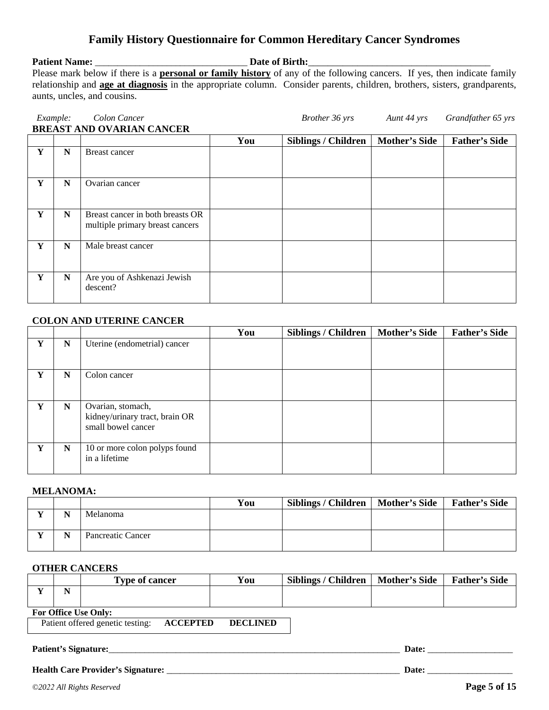### **Family History Questionnaire for Common Hereditary Cancer Syndromes**

#### **Patient Name:** \_\_\_\_\_\_\_\_\_\_\_\_\_\_\_\_\_\_\_\_\_\_\_\_\_\_\_\_\_\_\_\_\_\_ **Date of Birth:**\_\_\_\_\_\_\_\_\_\_\_\_\_\_\_\_\_\_\_\_\_\_\_\_\_\_\_\_\_\_\_\_\_\_\_\_\_

Please mark below if there is a **personal or family history** of any of the following cancers. If yes, then indicate family relationship and **age at diagnosis** in the appropriate column. Consider parents, children, brothers, sisters, grandparents, aunts, uncles, and cousins.

|   | Example:    | Colon Cancer                                                        |     | Brother 36 yrs             | Aunt 44 yrs          | Grandfather 65 yrs   |
|---|-------------|---------------------------------------------------------------------|-----|----------------------------|----------------------|----------------------|
|   |             | <b>BREAST AND OVARIAN CANCER</b>                                    |     |                            |                      |                      |
|   |             |                                                                     | You | <b>Siblings / Children</b> | <b>Mother's Side</b> | <b>Father's Side</b> |
| Y | $\mathbf N$ | <b>Breast cancer</b>                                                |     |                            |                      |                      |
| Y | $\mathbf N$ | Ovarian cancer                                                      |     |                            |                      |                      |
| Y | N           | Breast cancer in both breasts OR<br>multiple primary breast cancers |     |                            |                      |                      |
| Y | $\mathbf N$ | Male breast cancer                                                  |     |                            |                      |                      |
| Y | N           | Are you of Ashkenazi Jewish<br>descent?                             |     |                            |                      |                      |

#### **COLON AND UTERINE CANCER**

|   |             |                                                                           | You | <b>Siblings / Children</b> | <b>Mother's Side</b> | <b>Father's Side</b> |
|---|-------------|---------------------------------------------------------------------------|-----|----------------------------|----------------------|----------------------|
| Y | ${\bf N}$   | Uterine (endometrial) cancer                                              |     |                            |                      |                      |
| Y | $\mathbf N$ | Colon cancer                                                              |     |                            |                      |                      |
| Y | $\mathbf N$ | Ovarian, stomach,<br>kidney/urinary tract, brain OR<br>small bowel cancer |     |                            |                      |                      |
| Y | N           | 10 or more colon polyps found<br>in a lifetime                            |     |                            |                      |                      |

#### **MELANOMA:**

|     |           |                   | You | Siblings / Children | Mother's Side | <b>Father's Side</b> |
|-----|-----------|-------------------|-----|---------------------|---------------|----------------------|
| . . | <b>NT</b> | Melanoma          |     |                     |               |                      |
| . . | <b>NT</b> | Pancreatic Cancer |     |                     |               |                      |

#### **OTHER CANCERS**

|                             | <b>Type of cancer</b> | You | <b>Siblings / Children</b> | <b>Mother's Side</b> | <b>Father's Side</b> |  |  |  |  |
|-----------------------------|-----------------------|-----|----------------------------|----------------------|----------------------|--|--|--|--|
| N                           |                       |     |                            |                      |                      |  |  |  |  |
| <b>Ear Office Hea Only:</b> |                       |     |                            |                      |                      |  |  |  |  |

#### **For Office Use Only:**

Patient offered genetic testing: **ACCEPTED DECLINED** 

#### **Patient's Signature:**\_\_\_\_\_\_\_\_\_\_\_\_\_\_\_\_\_\_\_\_\_\_\_\_\_\_\_\_\_\_\_\_\_\_\_\_\_\_\_\_\_\_\_\_\_\_\_\_\_\_\_\_\_\_\_\_\_\_\_\_\_\_\_\_\_ **Date:** \_\_\_\_\_\_\_\_\_\_\_\_\_\_\_\_\_\_\_

#### **Health Care Provider's Signature:** \_\_\_\_\_\_\_\_\_\_\_\_\_\_\_\_\_\_\_\_\_\_\_\_\_\_\_\_\_\_\_\_\_\_\_\_\_\_\_\_\_\_\_\_\_\_\_\_\_\_\_\_ **Date:** \_\_\_\_\_\_\_\_\_\_\_\_\_\_\_\_\_\_\_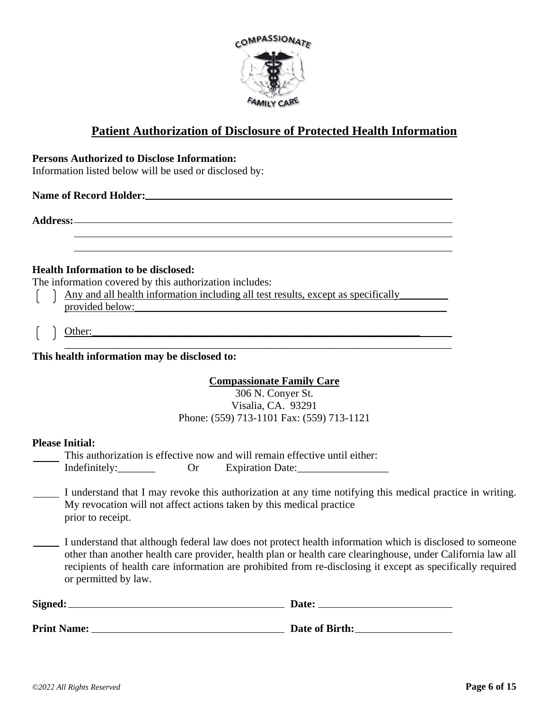

### **Patient Authorization of Disclosure of Protected Health Information**

#### **Persons Authorized to Disclose Information:**

Information listed below will be used or disclosed by:

#### **Name of Record Holder:** <u>**name of Record Holder:** *name name name name name name name name name name name name name name@exame@exame@exame@exame@exame@exame@exame@exame</u>*

**Address:**

#### **Health Information to be disclosed:**

The information covered by this authorization includes:

- Any and all health information including all test results, except as specifically\_\_\_\_\_\_\_\_\_  $\mathcal{L}$  $\mathbf{L}$ provided below:\_\_\_\_\_\_\_\_\_\_\_\_\_\_\_\_\_\_\_\_\_\_\_\_\_\_\_\_\_\_\_\_\_\_\_\_\_\_\_\_\_\_\_\_\_\_\_\_\_\_\_\_\_\_\_\_\_\_
- Other:\_\_\_\_\_\_\_\_\_\_\_\_\_\_\_\_\_\_\_\_\_\_\_\_\_\_\_\_\_\_\_\_\_\_\_\_\_\_\_\_\_\_\_\_\_\_\_\_\_\_\_\_\_\_\_\_\_\_\_\_\_

 $\overline{\phantom{a}}$  ,  $\overline{\phantom{a}}$  ,  $\overline{\phantom{a}}$  ,  $\overline{\phantom{a}}$  ,  $\overline{\phantom{a}}$  ,  $\overline{\phantom{a}}$  ,  $\overline{\phantom{a}}$  ,  $\overline{\phantom{a}}$  ,  $\overline{\phantom{a}}$  ,  $\overline{\phantom{a}}$  ,  $\overline{\phantom{a}}$  ,  $\overline{\phantom{a}}$  ,  $\overline{\phantom{a}}$  ,  $\overline{\phantom{a}}$  ,  $\overline{\phantom{a}}$  ,  $\overline{\phantom{a}}$ **This health information may be disclosed to:** 

#### **Compassionate Family Care**

306 N. Conyer St. Visalia, CA. 93291 Phone: (559) 713-1101 Fax: (559) 713-1121

#### **Please Initial:**

|  |  |  |  |  |  |  | This authorization is effective now and will remain effective until either. |  |
|--|--|--|--|--|--|--|-----------------------------------------------------------------------------|--|
|  |  |  |  |  |  |  |                                                                             |  |

Indefinitely: Or Expiration Date:

- I understand that I may revoke this authorization at any time notifying this medical practice in writing. My revocation will not affect actions taken by this medical practice prior to receipt.
- I understand that although federal law does not protect health information which is disclosed to someone other than another health care provider, health plan or health care clearinghouse, under California law all recipients of health care information are prohibited from re-disclosing it except as specifically required or permitted by law.

| Signed:            | Date:          |
|--------------------|----------------|
| <b>Print Name:</b> | Date of Birth: |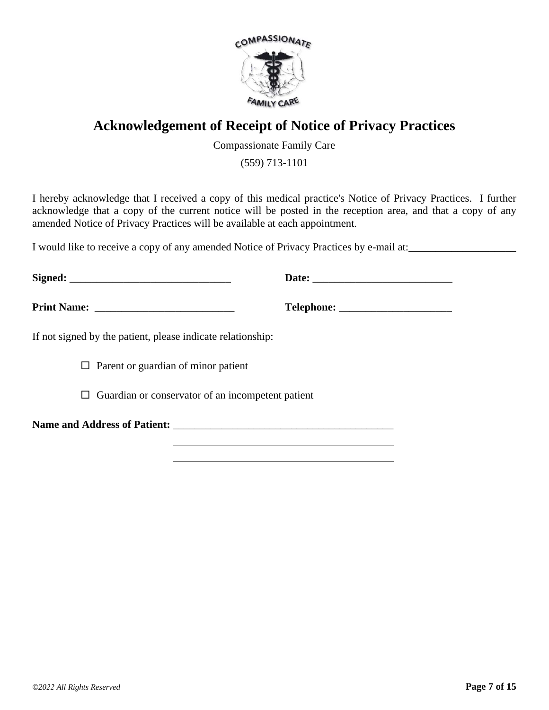

# **Acknowledgement of Receipt of Notice of Privacy Practices**

Compassionate Family Care

(559) 713-1101

I hereby acknowledge that I received a copy of this medical practice's Notice of Privacy Practices. I further acknowledge that a copy of the current notice will be posted in the reception area, and that a copy of any amended Notice of Privacy Practices will be available at each appointment.

I would like to receive a copy of any amended Notice of Privacy Practices by e-mail at:

| If not signed by the patient, please indicate relationship: |  |
|-------------------------------------------------------------|--|
| $\Box$ Parent or guardian of minor patient                  |  |
| $\Box$ Guardian or conservator of an incompetent patient    |  |
|                                                             |  |
|                                                             |  |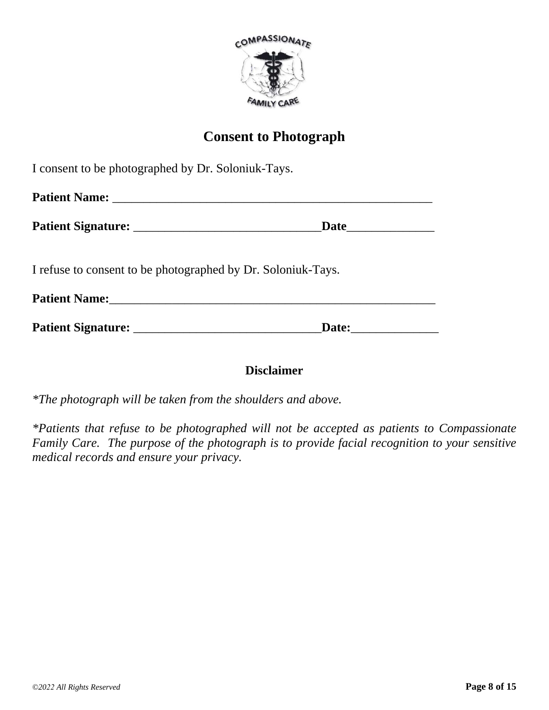

# **Consent to Photograph**

| I consent to be photographed by Dr. Soloniuk-Tays.           |  |
|--------------------------------------------------------------|--|
|                                                              |  |
|                                                              |  |
| I refuse to consent to be photographed by Dr. Soloniuk-Tays. |  |
|                                                              |  |
|                                                              |  |

### **Disclaimer**

*\*The photograph will be taken from the shoulders and above.*

*\*Patients that refuse to be photographed will not be accepted as patients to Compassionate Family Care. The purpose of the photograph is to provide facial recognition to your sensitive medical records and ensure your privacy.*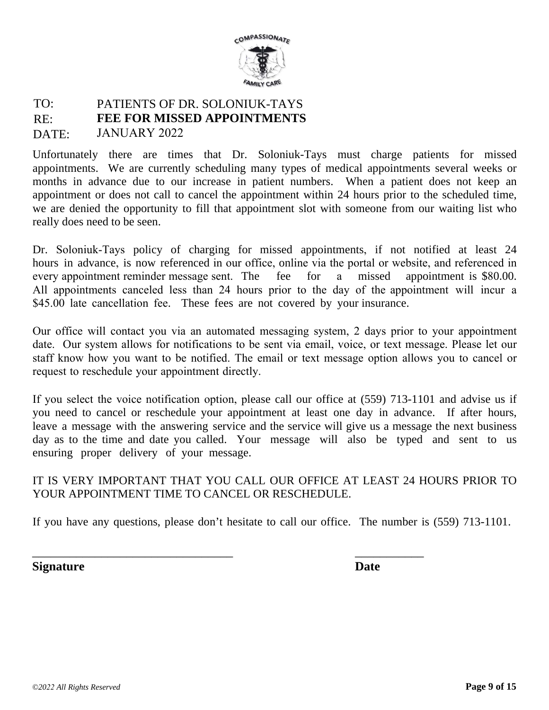

#### TO: RE: DATE: PATIENTS OF DR. SOLONIUK-TAYS **FEE FOR MISSED APPOINTMENTS** JANUARY 2022

Unfortunately there are times that Dr. Soloniuk-Tays must charge patients for missed appointments. We are currently scheduling many types of medical appointments several weeks or months in advance due to our increase in patient numbers. When a patient does not keep an appointment or does not call to cancel the appointment within 24 hours prior to the scheduled time, we are denied the opportunity to fill that appointment slot with someone from our waiting list who really does need to be seen.

Dr. Soloniuk-Tays policy of charging for missed appointments, if not notified at least 24 hours in advance, is now referenced in our office, online via the portal or website, and referenced in every appointment reminder message sent. The fee for a missed appointment is \$80.00. All appointments canceled less than 24 hours prior to the day of the appointment will incur a \$45.00 late cancellation fee. These fees are not covered by your insurance.

Our office will contact you via an automated messaging system, 2 days prior to your appointment date. Our system allows for notifications to be sent via email, voice, or text message. Please let our staff know how you want to be notified. The email or text message option allows you to cancel or request to reschedule your appointment directly.

If you select the voice notification option, please call our office at (559) 713-1101 and advise us if you need to cancel or reschedule your appointment at least one day in advance. If after hours, leave a message with the answering service and the service will give us a message the next business day as to the time and date you called. Your message will also be typed and sent to us ensuring proper delivery of your message.

### IT IS VERY IMPORTANT THAT YOU CALL OUR OFFICE AT LEAST 24 HOURS PRIOR TO YOUR APPOINTMENT TIME TO CANCEL OR RESCHEDULE.

If you have any questions, please don't hesitate to call our office. The number is (559) 713-1101.

\_\_\_\_\_\_\_\_\_\_\_\_\_\_\_\_\_\_\_\_\_\_\_\_\_\_\_\_\_\_\_\_ \_\_\_\_\_\_\_\_\_\_\_

**Signature Date**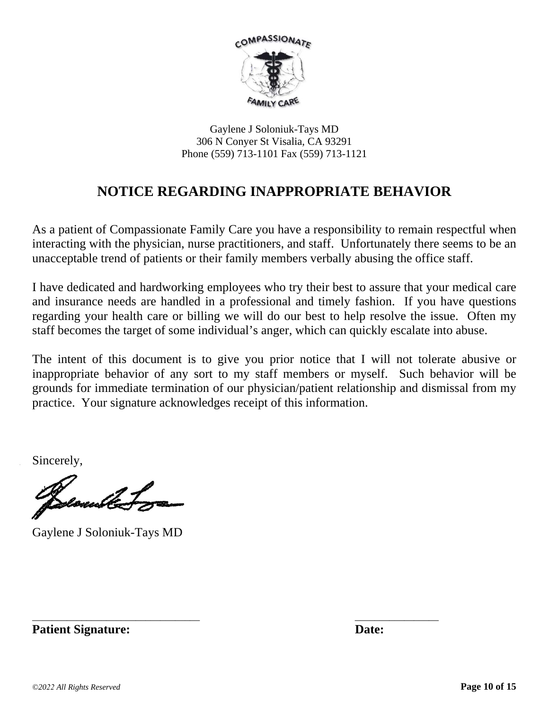

Gaylene J Soloniuk-Tays MD 306 N Conyer St Visalia, CA 93291 Phone (559) 713-1101 Fax (559) 713-1121

# **NOTICE REGARDING INAPPROPRIATE BEHAVIOR**

As a patient of Compassionate Family Care you have a responsibility to remain respectful when interacting with the physician, nurse practitioners, and staff. Unfortunately there seems to be an unacceptable trend of patients or their family members verbally abusing the office staff.

I have dedicated and hardworking employees who try their best to assure that your medical care and insurance needs are handled in a professional and timely fashion. If you have questions regarding your health care or billing we will do our best to help resolve the issue. Often my staff becomes the target of some individual's anger, which can quickly escalate into abuse.

The intent of this document is to give you prior notice that I will not tolerate abusive or inappropriate behavior of any sort to my staff members or myself. Such behavior will be grounds for immediate termination of our physician/patient relationship and dismissal from my practice. Your signature acknowledges receipt of this information.

\_\_\_\_\_\_\_\_\_\_\_\_\_\_\_\_\_\_\_\_\_\_\_\_\_\_\_\_\_\_\_\_\_\_ \_\_\_\_\_\_\_\_\_\_\_\_\_\_\_\_\_

Sincerely,

mullet

Gaylene J Soloniuk-Tays MD

**Patient Signature:** Date: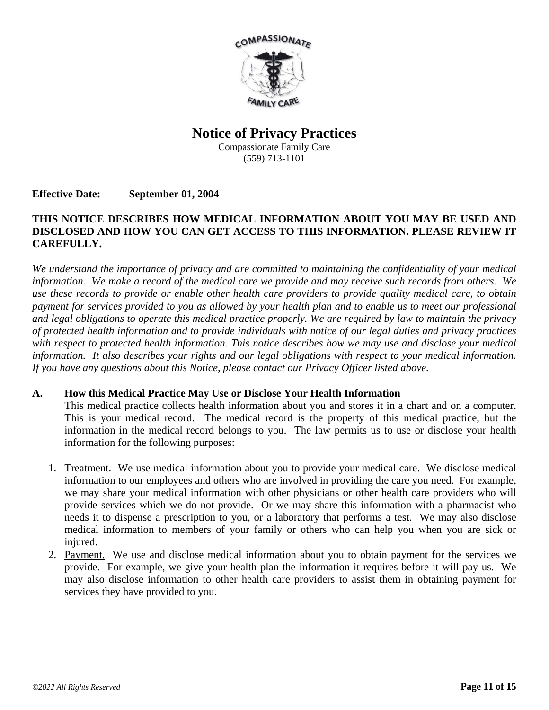

## **Notice of Privacy Practices**

Compassionate Family Care (559) 713-1101

#### **Effective Date: September 01, 2004**

#### **THIS NOTICE DESCRIBES HOW MEDICAL INFORMATION ABOUT YOU MAY BE USED AND DISCLOSED AND HOW YOU CAN GET ACCESS TO THIS INFORMATION. PLEASE REVIEW IT CAREFULLY.**

*We understand the importance of privacy and are committed to maintaining the confidentiality of your medical information. We make a record of the medical care we provide and may receive such records from others. We use these records to provide or enable other health care providers to provide quality medical care, to obtain payment for services provided to you as allowed by your health plan and to enable us to meet our professional and legal obligations to operate this medical practice properly. We are required by law to maintain the privacy of protected health information and to provide individuals with notice of our legal duties and privacy practices with respect to protected health information. This notice describes how we may use and disclose your medical information. It also describes your rights and our legal obligations with respect to your medical information. If you have any questions about this Notice, please contact our Privacy Officer listed above.* 

#### **A. How this Medical Practice May Use or Disclose Your Health Information**

This medical practice collects health information about you and stores it in a chart and on a computer. This is your medical record. The medical record is the property of this medical practice, but the information in the medical record belongs to you. The law permits us to use or disclose your health information for the following purposes:

- 1. Treatment. We use medical information about you to provide your medical care. We disclose medical information to our employees and others who are involved in providing the care you need. For example, we may share your medical information with other physicians or other health care providers who will provide services which we do not provide. Or we may share this information with a pharmacist who needs it to dispense a prescription to you, or a laboratory that performs a test. We may also disclose medical information to members of your family or others who can help you when you are sick or injured.
- 2. Payment. We use and disclose medical information about you to obtain payment for the services we provide. For example, we give your health plan the information it requires before it will pay us. We may also disclose information to other health care providers to assist them in obtaining payment for services they have provided to you.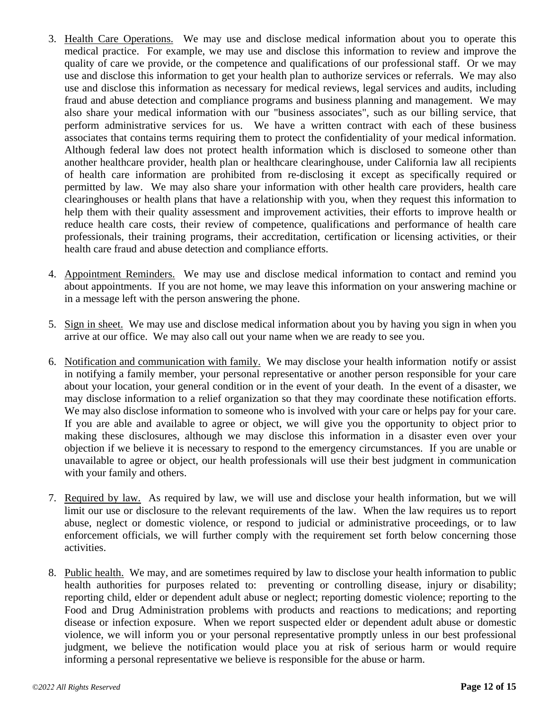- 3. Health Care Operations. We may use and disclose medical information about you to operate this medical practice. For example, we may use and disclose this information to review and improve the quality of care we provide, or the competence and qualifications of our professional staff. Or we may use and disclose this information to get your health plan to authorize services or referrals. We may also use and disclose this information as necessary for medical reviews, legal services and audits, including fraud and abuse detection and compliance programs and business planning and management. We may also share your medical information with our "business associates", such as our billing service, that perform administrative services for us. We have a written contract with each of these business associates that contains terms requiring them to protect the confidentiality of your medical information. Although federal law does not protect health information which is disclosed to someone other than another healthcare provider, health plan or healthcare clearinghouse, under California law all recipients of health care information are prohibited from re-disclosing it except as specifically required or permitted by law. We may also share your information with other health care providers, health care clearinghouses or health plans that have a relationship with you, when they request this information to help them with their quality assessment and improvement activities, their efforts to improve health or reduce health care costs, their review of competence, qualifications and performance of health care professionals, their training programs, their accreditation, certification or licensing activities, or their health care fraud and abuse detection and compliance efforts.
- 4. Appointment Reminders. We may use and disclose medical information to contact and remind you about appointments. If you are not home, we may leave this information on your answering machine or in a message left with the person answering the phone.
- 5. Sign in sheet. We may use and disclose medical information about you by having you sign in when you arrive at our office. We may also call out your name when we are ready to see you.
- 6. Notification and communication with family. We may disclose your health information notify or assist in notifying a family member, your personal representative or another person responsible for your care about your location, your general condition or in the event of your death. In the event of a disaster, we may disclose information to a relief organization so that they may coordinate these notification efforts. We may also disclose information to someone who is involved with your care or helps pay for your care. If you are able and available to agree or object, we will give you the opportunity to object prior to making these disclosures, although we may disclose this information in a disaster even over your objection if we believe it is necessary to respond to the emergency circumstances. If you are unable or unavailable to agree or object, our health professionals will use their best judgment in communication with your family and others.
- 7. Required by law. As required by law, we will use and disclose your health information, but we will limit our use or disclosure to the relevant requirements of the law. When the law requires us to report abuse, neglect or domestic violence, or respond to judicial or administrative proceedings, or to law enforcement officials, we will further comply with the requirement set forth below concerning those activities.
- 8. Public health. We may, and are sometimes required by law to disclose your health information to public health authorities for purposes related to: preventing or controlling disease, injury or disability; reporting child, elder or dependent adult abuse or neglect; reporting domestic violence; reporting to the Food and Drug Administration problems with products and reactions to medications; and reporting disease or infection exposure. When we report suspected elder or dependent adult abuse or domestic violence, we will inform you or your personal representative promptly unless in our best professional judgment, we believe the notification would place you at risk of serious harm or would require informing a personal representative we believe is responsible for the abuse or harm.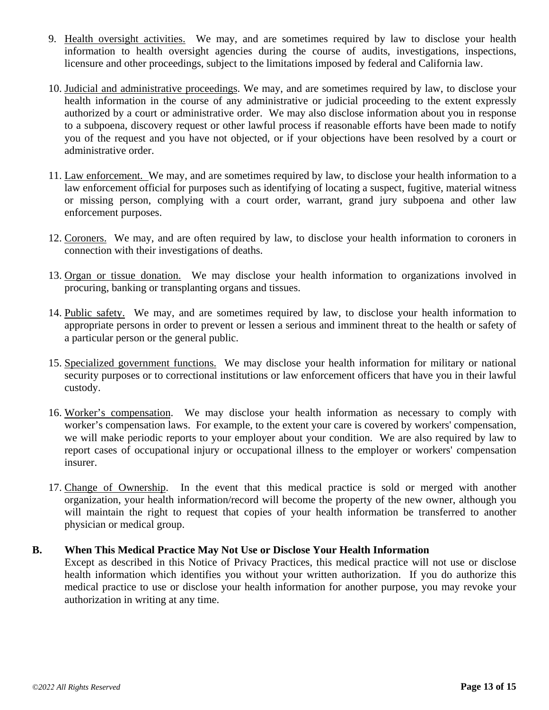- 9. Health oversight activities. We may, and are sometimes required by law to disclose your health information to health oversight agencies during the course of audits, investigations, inspections, licensure and other proceedings, subject to the limitations imposed by federal and California law.
- 10. Judicial and administrative proceedings. We may, and are sometimes required by law, to disclose your health information in the course of any administrative or judicial proceeding to the extent expressly authorized by a court or administrative order. We may also disclose information about you in response to a subpoena, discovery request or other lawful process if reasonable efforts have been made to notify you of the request and you have not objected, or if your objections have been resolved by a court or administrative order.
- 11. Law enforcement. We may, and are sometimes required by law, to disclose your health information to a law enforcement official for purposes such as identifying of locating a suspect, fugitive, material witness or missing person, complying with a court order, warrant, grand jury subpoena and other law enforcement purposes.
- 12. Coroners. We may, and are often required by law, to disclose your health information to coroners in connection with their investigations of deaths.
- 13. Organ or tissue donation. We may disclose your health information to organizations involved in procuring, banking or transplanting organs and tissues.
- 14. Public safety. We may, and are sometimes required by law, to disclose your health information to appropriate persons in order to prevent or lessen a serious and imminent threat to the health or safety of a particular person or the general public.
- 15. Specialized government functions. We may disclose your health information for military or national security purposes or to correctional institutions or law enforcement officers that have you in their lawful custody.
- 16. Worker's compensation. We may disclose your health information as necessary to comply with worker's compensation laws. For example, to the extent your care is covered by workers' compensation, we will make periodic reports to your employer about your condition. We are also required by law to report cases of occupational injury or occupational illness to the employer or workers' compensation insurer.
- 17. Change of Ownership. In the event that this medical practice is sold or merged with another organization, your health information/record will become the property of the new owner, although you will maintain the right to request that copies of your health information be transferred to another physician or medical group.

#### **B. When This Medical Practice May Not Use or Disclose Your Health Information**

Except as described in this Notice of Privacy Practices, this medical practice will not use or disclose health information which identifies you without your written authorization. If you do authorize this medical practice to use or disclose your health information for another purpose, you may revoke your authorization in writing at any time.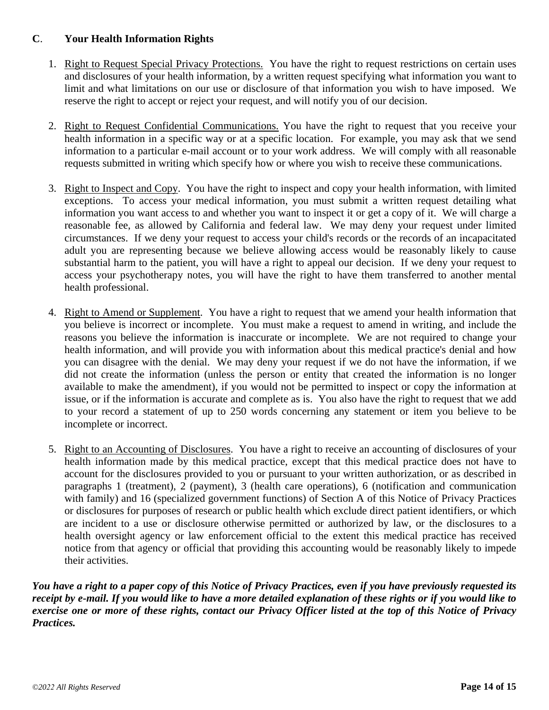### **C**. **Your Health Information Rights**

- 1. Right to Request Special Privacy Protections. You have the right to request restrictions on certain uses and disclosures of your health information, by a written request specifying what information you want to limit and what limitations on our use or disclosure of that information you wish to have imposed. We reserve the right to accept or reject your request, and will notify you of our decision.
- 2. Right to Request Confidential Communications. You have the right to request that you receive your health information in a specific way or at a specific location. For example, you may ask that we send information to a particular e-mail account or to your work address. We will comply with all reasonable requests submitted in writing which specify how or where you wish to receive these communications.
- 3. Right to Inspect and Copy. You have the right to inspect and copy your health information, with limited exceptions. To access your medical information, you must submit a written request detailing what information you want access to and whether you want to inspect it or get a copy of it. We will charge a reasonable fee, as allowed by California and federal law. We may deny your request under limited circumstances. If we deny your request to access your child's records or the records of an incapacitated adult you are representing because we believe allowing access would be reasonably likely to cause substantial harm to the patient, you will have a right to appeal our decision. If we deny your request to access your psychotherapy notes, you will have the right to have them transferred to another mental health professional.
- 4. Right to Amend or Supplement. You have a right to request that we amend your health information that you believe is incorrect or incomplete. You must make a request to amend in writing, and include the reasons you believe the information is inaccurate or incomplete. We are not required to change your health information, and will provide you with information about this medical practice's denial and how you can disagree with the denial. We may deny your request if we do not have the information, if we did not create the information (unless the person or entity that created the information is no longer available to make the amendment), if you would not be permitted to inspect or copy the information at issue, or if the information is accurate and complete as is. You also have the right to request that we add to your record a statement of up to 250 words concerning any statement or item you believe to be incomplete or incorrect.
- 5. Right to an Accounting of Disclosures. You have a right to receive an accounting of disclosures of your health information made by this medical practice, except that this medical practice does not have to account for the disclosures provided to you or pursuant to your written authorization, or as described in paragraphs 1 (treatment), 2 (payment), 3 (health care operations), 6 (notification and communication with family) and 16 (specialized government functions) of Section A of this Notice of Privacy Practices or disclosures for purposes of research or public health which exclude direct patient identifiers, or which are incident to a use or disclosure otherwise permitted or authorized by law, or the disclosures to a health oversight agency or law enforcement official to the extent this medical practice has received notice from that agency or official that providing this accounting would be reasonably likely to impede their activities.

*You have a right to a paper copy of this Notice of Privacy Practices, even if you have previously requested its receipt by e-mail. If you would like to have a more detailed explanation of these rights or if you would like to exercise one or more of these rights, contact our Privacy Officer listed at the top of this Notice of Privacy Practices.*